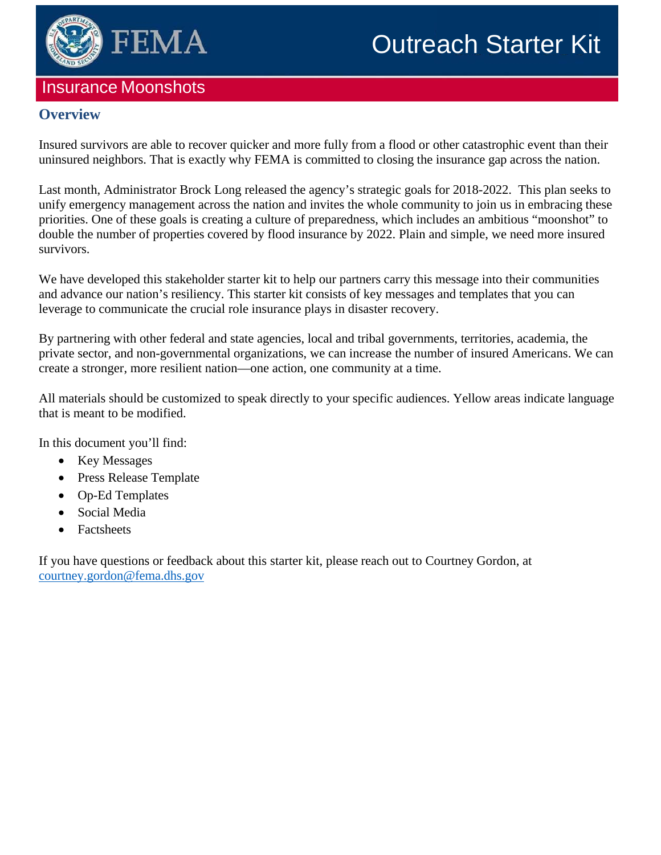

# Outreach Starter Kit

### Insurance Moonshots

#### **Overview**

Insured survivors are able to recover quicker and more fully from a flood or other catastrophic event than their uninsured neighbors. That is exactly why FEMA is committed to closing the insurance gap across the nation.

Last month, Administrator Brock Long released the agency's strategic goals for 2018-2022. This plan seeks to unify emergency management across the nation and invites the whole community to join us in embracing these priorities. One of these goals is creating a culture of preparedness, which includes an ambitious "moonshot" to double the number of properties covered by flood insurance by 2022. Plain and simple, we need more insured survivors.

We have developed this stakeholder starter kit to help our partners carry this message into their communities and advance our nation's resiliency. This starter kit consists of key messages and templates that you can leverage to communicate the crucial role insurance plays in disaster recovery.

By partnering with other federal and state agencies, local and tribal governments, territories, academia, the private sector, and non-governmental organizations, we can increase the number of insured Americans. We can create a stronger, more resilient nation—one action, one community at a time.

All materials should be customized to speak directly to your specific audiences. Yellow areas indicate language that is meant to be modified.

In this document you'll find:

- Key Messages
- Press Release Template
- Op-Ed Templates
- Social Media
- **Factsheets**

If you have questions or feedback about this starter kit, please reach out to Courtney Gordon, at [courtney.gordon@fema.dhs.gov](mailto:courtney.gordon@fema.dhs.gov)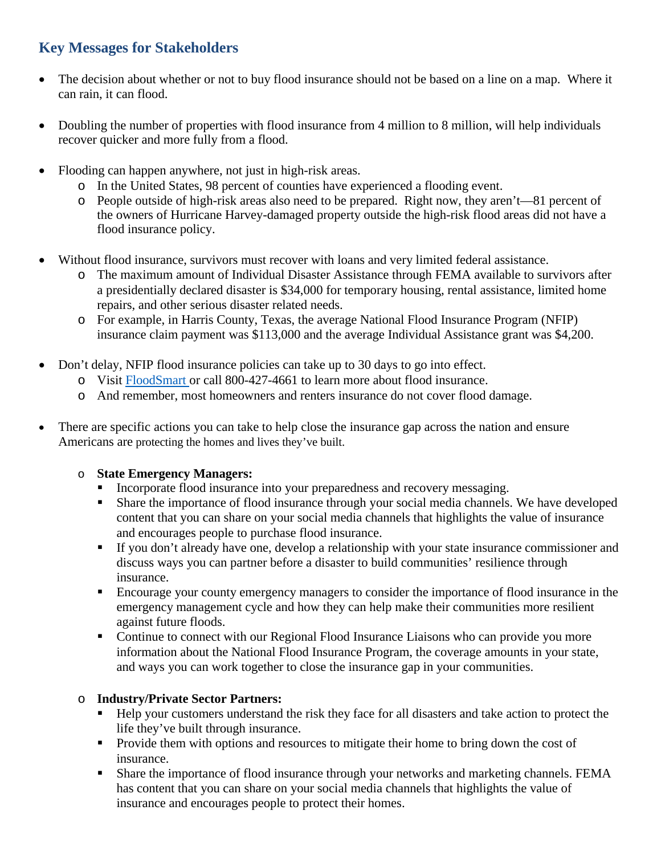### **Key Messages for Stakeholders**

- The decision about whether or not to buy flood insurance should not be based on a line on a map. Where it can rain, it can flood.
- Doubling the number of properties with flood insurance from 4 million to 8 million, will help individuals recover quicker and more fully from a flood.
- Flooding can happen anywhere, not just in high-risk areas.
	- o In the United States, 98 percent of counties have experienced a flooding event.
	- o People outside of high-risk areas also need to be prepared. Right now, they aren't—81 percent of the owners of Hurricane Harvey-damaged property outside the high-risk flood areas did not have a flood insurance policy.
- Without flood insurance, survivors must recover with loans and very limited federal assistance.
	- o The maximum amount of Individual Disaster Assistance through FEMA available to survivors after a presidentially declared disaster is \$34,000 for temporary housing, rental assistance, limited home repairs, and other serious disaster related needs.
	- o For example, in Harris County, Texas, the average National Flood Insurance Program (NFIP) insurance claim payment was \$113,000 and the average Individual Assistance grant was \$4,200.
- Don't delay, NFIP flood insurance policies can take up to 30 days to go into effect.
	- o Visit [FloodSmart](http://www.floodsmart.gov/) or call 800-427-4661 to learn more about flood insurance.
	- o And remember, most homeowners and renters insurance do not cover flood damage.
- There are specific actions you can take to help close the insurance gap across the nation and ensure Americans are protecting the homes and lives they've built.

#### o **State Emergency Managers:**

- Incorporate flood insurance into your preparedness and recovery messaging.
- Share the importance of flood insurance through your social media channels. We have developed content that you can share on your social media channels that highlights the value of insurance and encourages people to purchase flood insurance.
- If you don't already have one, develop a relationship with your state insurance commissioner and discuss ways you can partner before a disaster to build communities' resilience through insurance.
- Encourage your county emergency managers to consider the importance of flood insurance in the emergency management cycle and how they can help make their communities more resilient against future floods.
- Continue to connect with our Regional Flood Insurance Liaisons who can provide you more information about the National Flood Insurance Program, the coverage amounts in your state, and ways you can work together to close the insurance gap in your communities.

#### o **Industry/Private Sector Partners:**

- Help your customers understand the risk they face for all disasters and take action to protect the life they've built through insurance.
- **Provide them with options and resources to mitigate their home to bring down the cost of** insurance.
- Share the importance of flood insurance through your networks and marketing channels. FEMA has content that you can share on your social media channels that highlights the value of insurance and encourages people to protect their homes.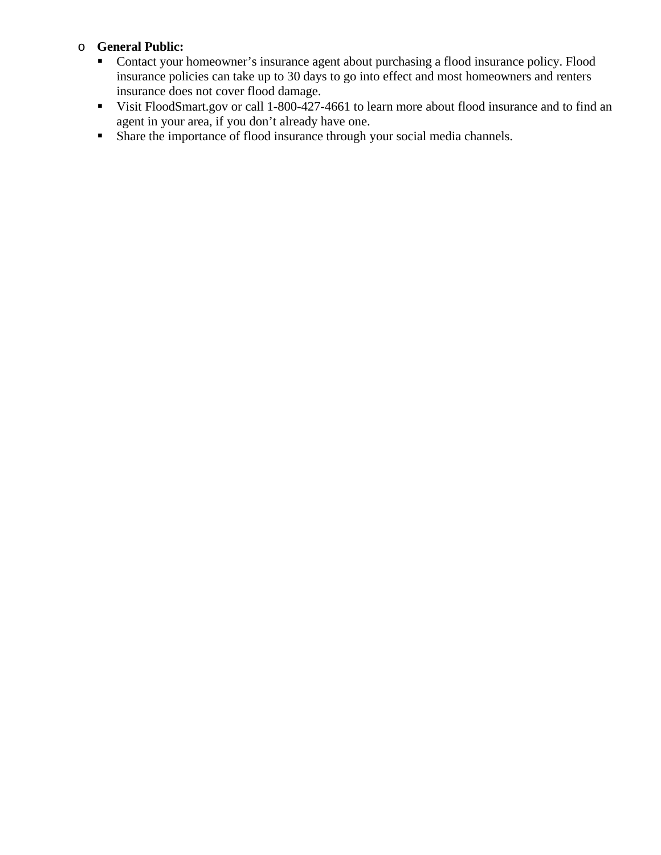#### o **General Public:**

- Contact your homeowner's insurance agent about purchasing a flood insurance policy. Flood insurance policies can take up to 30 days to go into effect and most homeowners and renters insurance does not cover flood damage.
- Visit FloodSmart.gov or call 1-800-427-4661 to learn more about flood insurance and to find an agent in your area, if you don't already have one.
- Share the importance of flood insurance through your social media channels.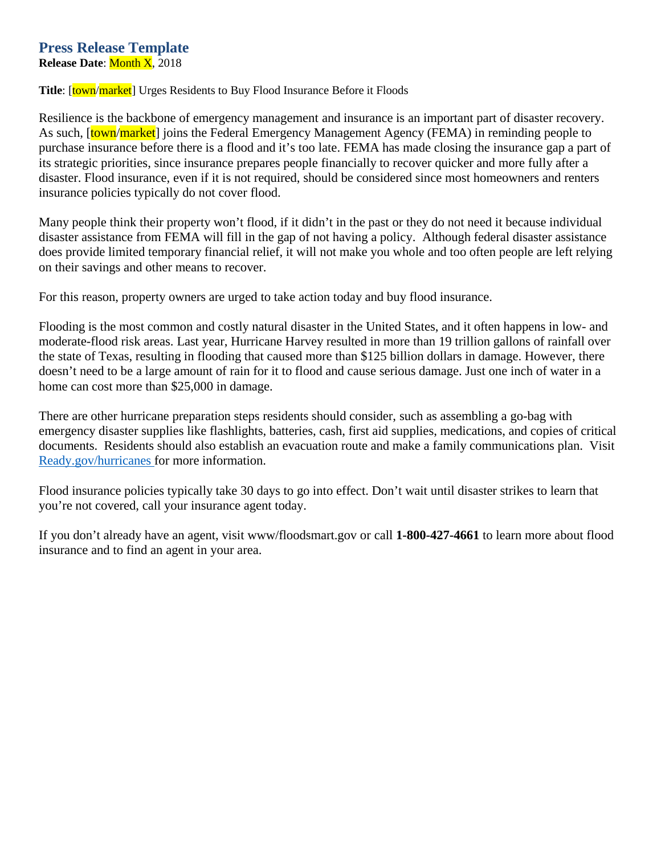#### **Press Release Template Release Date**: Month X, 2018

**Title:** [town/market] Urges Residents to Buy Flood Insurance Before it Floods

Resilience is the backbone of emergency management and insurance is an important part of disaster recovery. As such, *[town/market]* joins the Federal Emergency Management Agency (FEMA) in reminding people to purchase insurance before there is a flood and it's too late. FEMA has made closing the insurance gap a part of its strategic priorities, since insurance prepares people financially to recover quicker and more fully after a disaster. Flood insurance, even if it is not required, should be considered since most homeowners and renters insurance policies typically do not cover flood.

Many people think their property won't flood, if it didn't in the past or they do not need it because individual disaster assistance from FEMA will fill in the gap of not having a policy. Although federal disaster assistance does provide limited temporary financial relief, it will not make you whole and too often people are left relying on their savings and other means to recover.

For this reason, property owners are urged to take action today and buy flood insurance.

Flooding is the most common and costly natural disaster in the United States, and it often happens in low- and moderate-flood risk areas. Last year, Hurricane Harvey resulted in more than 19 trillion gallons of rainfall over the state of Texas, resulting in flooding that caused more than \$125 billion dollars in damage. However, there doesn't need to be a large amount of rain for it to flood and cause serious damage. Just one inch of water in a home can cost more than \$25,000 in damage.

There are other hurricane preparation steps residents should consider, such as assembling a go-bag with emergency disaster supplies like flashlights, batteries, cash, first aid supplies, medications, and copies of critical documents. Residents should also establish an evacuation route and make a family communications plan. Visit [Ready.gov/hurricanes](http://www.ready.gov/hurricanes) for more information.

Flood insurance policies typically take 30 days to go into effect. Don't wait until disaster strikes to learn that you're not covered, call your insurance agent today.

If you don't already have an agent, visit www/floodsmart.gov or call **1-800-427-4661** to learn more about flood insurance and to find an agent in your area.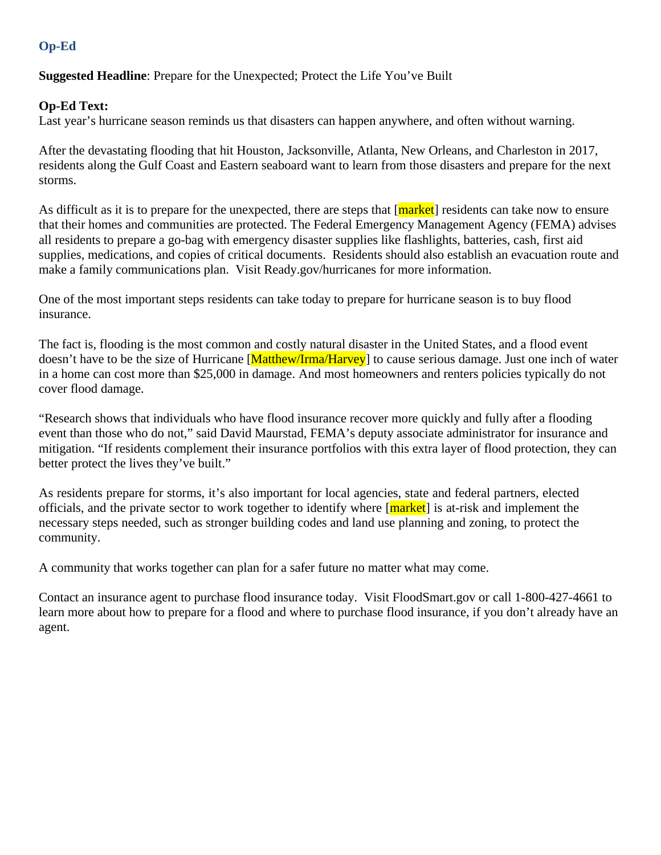#### **Op-Ed**

**Suggested Headline**: Prepare for the Unexpected; Protect the Life You've Built

#### **Op-Ed Text:**

Last year's hurricane season reminds us that disasters can happen anywhere, and often without warning.

After the devastating flooding that hit Houston, Jacksonville, Atlanta, New Orleans, and Charleston in 2017, residents along the Gulf Coast and Eastern seaboard want to learn from those disasters and prepare for the next storms.

As difficult as it is to prepare for the unexpected, there are steps that  $[\text{market}]$  residents can take now to ensure that their homes and communities are protected. The Federal Emergency Management Agency (FEMA) advises all residents to prepare a go-bag with emergency disaster supplies like flashlights, batteries, cash, first aid supplies, medications, and copies of critical documents. Residents should also establish an evacuation route and make a family communications plan. Visit Ready.gov/hurricanes for more information.

One of the most important steps residents can take today to prepare for hurricane season is to buy flood insurance.

The fact is, flooding is the most common and costly natural disaster in the United States, and a flood event doesn't have to be the size of Hurricane [Matthew/Irma/Harvey] to cause serious damage. Just one inch of water in a home can cost more than \$25,000 in damage. And most homeowners and renters policies typically do not cover flood damage.

"Research shows that individuals who have flood insurance recover more quickly and fully after a flooding event than those who do not," said David Maurstad, FEMA's deputy associate administrator for insurance and mitigation. "If residents complement their insurance portfolios with this extra layer of flood protection, they can better protect the lives they've built."

As residents prepare for storms, it's also important for local agencies, state and federal partners, elected officials, and the private sector to work together to identify where  $[\text{market}]$  is at-risk and implement the necessary steps needed, such as stronger building codes and land use planning and zoning, to protect the community.

A community that works together can plan for a safer future no matter what may come.

Contact an insurance agent to purchase flood insurance today. Visit FloodSmart.gov or call 1-800-427-4661 to learn more about how to prepare for a flood and where to purchase flood insurance, if you don't already have an agent.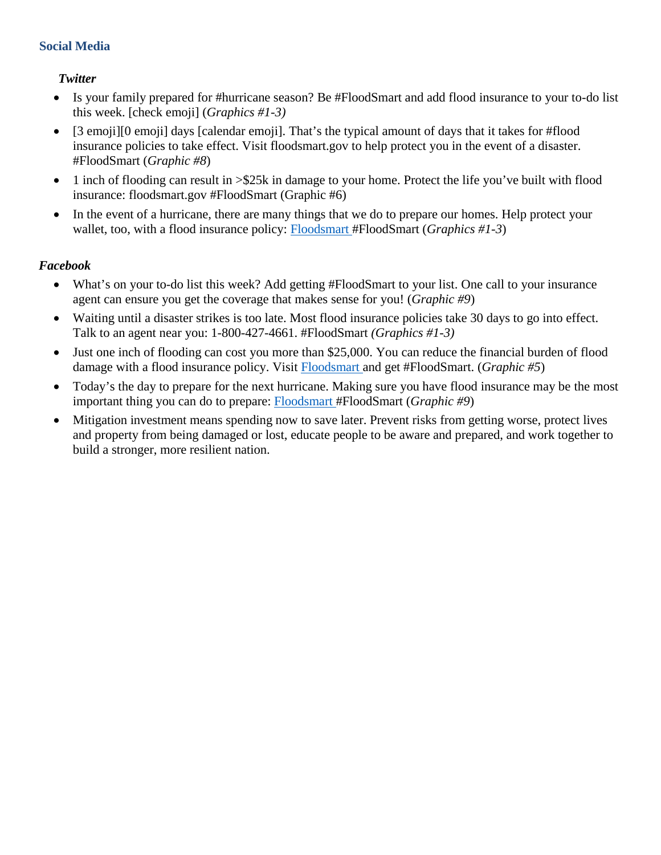#### **Social Media**

#### *Twitter*

- Is your family prepared for #hurricane season? Be #FloodSmart and add flood insurance to your to-do list this week. [check emoji] (*Graphics #1-3)*
- [3 emoji][0 emoji] days [calendar emoji]. That's the typical amount of days that it takes for #flood insurance policies to take effect. Visit floodsmart.gov to help protect you in the event of a disaster. #FloodSmart (*Graphic #8*)
- 1 inch of flooding can result in  $\frac{1}{25k}$  in damage to your home. Protect the life you've built with flood insurance: floodsmart.gov #FloodSmart (Graphic #6)
- In the event of a hurricane, there are many things that we do to prepare our homes. Help protect your wallet, too, with a flood insurance policy: [Floodsmart](http://www.floodsmart.gov/) #FloodSmart (*Graphics #1-3*)

#### *Facebook*

- What's on your to-do list this week? Add getting #FloodSmart to your list. One call to your insurance agent can ensure you get the coverage that makes sense for you! (*Graphic #9*)
- Waiting until a disaster strikes is too late. Most flood insurance policies take 30 days to go into effect. Talk to an agent near you: 1-800-427-4661. #FloodSmart *(Graphics #1-3)*
- Just one inch of flooding can cost you more than \$25,000. You can reduce the financial burden of flood damage with a flood insurance policy. Visit [Floodsmart](http://www.floodsmart.gov/) and get #FloodSmart. (*Graphic #5*)
- Today's the day to prepare for the next hurricane. Making sure you have flood insurance may be the most important thing you can do to prepare: [Floodsmart](http://www.floodsmart.gov/) #FloodSmart (*Graphic #9*)
- Mitigation investment means spending now to save later. Prevent risks from getting worse, protect lives and property from being damaged or lost, educate people to be aware and prepared, and work together to build a stronger, more resilient nation.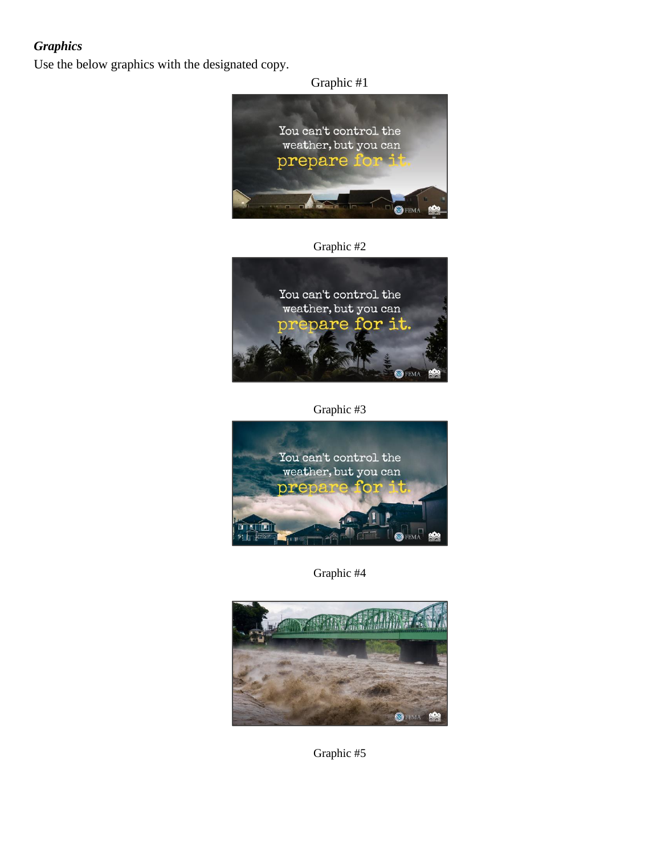### *Graphics*

Use the below graphics with the designated copy.

#### Graphic #1



Graphic #2



Graphic #3



Graphic #4



Graphic #5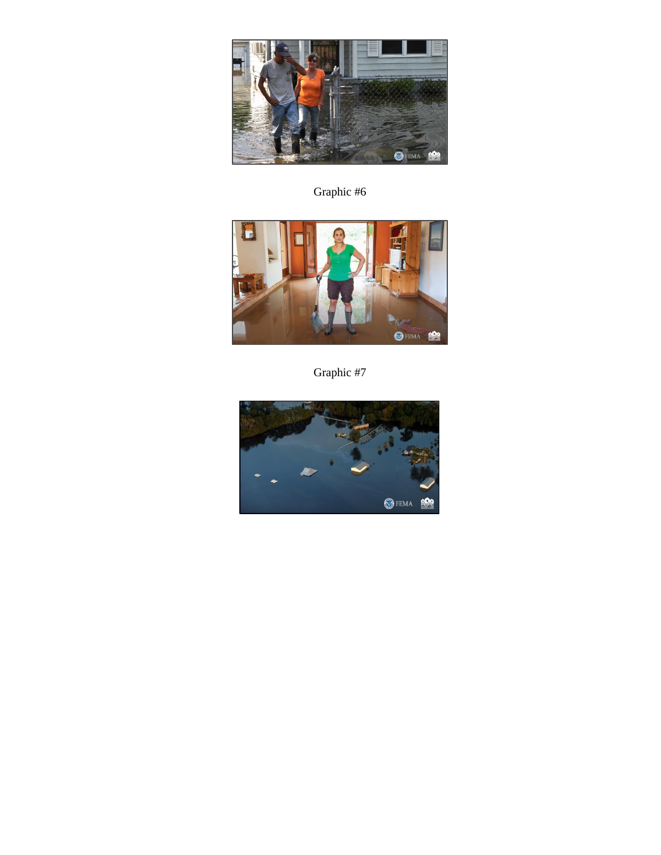

Graphic #6



Graphic #7

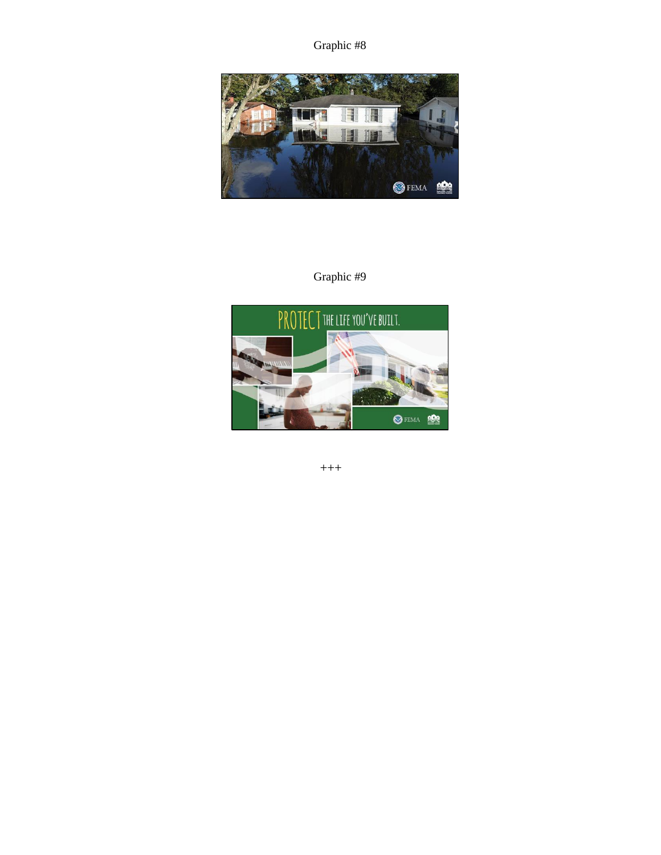Graphic #8



Graphic #9



+++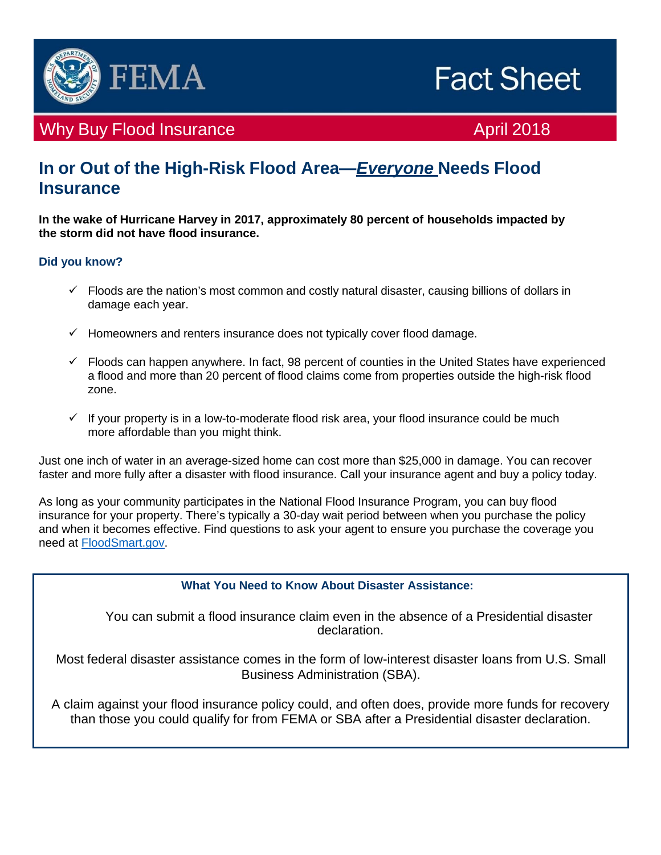

# **Fact Sheet**

## Why Buy Flood Insurance **April 2018** April 2018

# **In or Out of the High-Risk Flood Area—***Everyone* **Needs Flood Insurance**

**In the wake of Hurricane Harvey in 2017, approximately 80 percent of households impacted by the storm did not have flood insurance.**

#### **Did you know?**

- $\checkmark$  Floods are the nation's most common and costly natural disaster, causing billions of dollars in damage each year.
- $\checkmark$  Homeowners and renters insurance does not typically cover flood damage.
- $\checkmark$  Floods can happen anywhere. In fact, 98 percent of counties in the United States have experienced a flood and more than 20 percent of flood claims come from properties outside the high-risk flood zone.
- $\checkmark$  If your property is in a low-to-moderate flood risk area, your flood insurance could be much more affordable than you might think.

Just one inch of water in an average-sized home can cost more than \$25,000 in damage. You can recover faster and more fully after a disaster with flood insurance. Call your insurance agent and buy a policy today.

As long as your community participates in the National Flood Insurance Program, you can buy flood insurance for your property. There's typically a 30-day wait period between when you purchase the policy and when it becomes effective. Find questions to ask your agent to ensure you purchase the coverage you need at [FloodSmart.gov.](http://www.floodsmart.gov/)

#### **What You Need to Know About Disaster Assistance:**

You can submit a flood insurance claim even in the absence of a Presidential disaster declaration.

Most federal disaster assistance comes in the form of low-interest disaster loans from U.S. Small Business Administration (SBA).

A claim against your flood insurance policy could, and often does, provide more funds for recovery than those you could qualify for from FEMA or SBA after a Presidential disaster declaration.